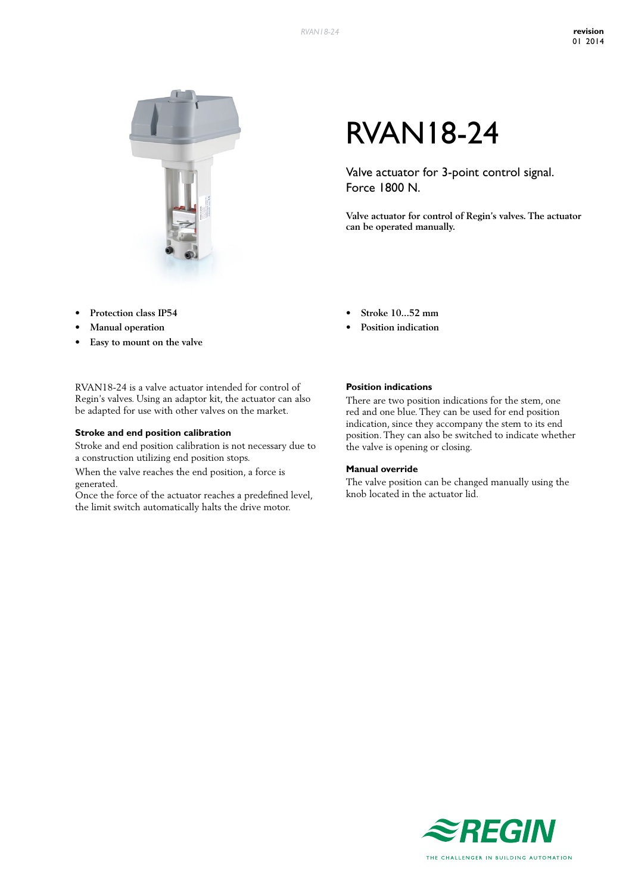

#### **Protection** class **IP54**

- **Manual** operation
- **• Easy to mount on the valve**

RVAN18-24 is a valve actuator intended for control of Regin's valves. Using an adaptor kit, the actuator can also be adapted for use with other valves on the market.

#### **Stroke and end position calibration**

Stroke and end position calibration is not necessary due to a construction utilizing end position stops.

When the valve reaches the end position, a force is generated.

Once the force of the actuator reaches a predefined level, the limit switch automatically halts the drive motor.

# RVAN18-24

Valve actuator for 3-point control signal. Force 1800 N.

**Valve actuator for control of Regin's valves. The actuator can be operated manually.**

- **• Stroke 10...52 mm**
- **Position** indication

#### **Position indications**

There are two position indications for the stem, one red and one blue. They can be used for end position indication, since they accompany the stem to its end position. They can also be switched to indicate whether the valve is opening or closing.

#### **Manual override**

The valve position can be changed manually using the knob located in the actuator lid.